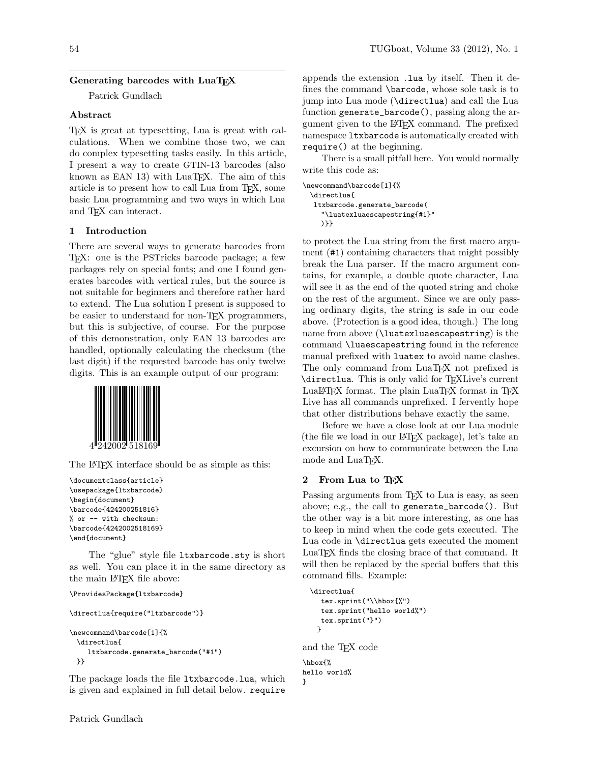# Generating barcodes with LuaT<sub>EX</sub>

Patrick Gundlach

#### Abstract

TEX is great at typesetting, Lua is great with calculations. When we combine those two, we can do complex typesetting tasks easily. In this article, I present a way to create GTIN-13 barcodes (also known as EAN  $13$ ) with LuaT<sub>E</sub>X. The aim of this article is to present how to call Lua from TEX, some basic Lua programming and two ways in which Lua and TEX can interact.

## 1 Introduction

There are several ways to generate barcodes from TEX: one is the PSTricks barcode package; a few packages rely on special fonts; and one I found generates barcodes with vertical rules, but the source is not suitable for beginners and therefore rather hard to extend. The Lua solution I present is supposed to be easier to understand for non-TEX programmers, but this is subjective, of course. For the purpose of this demonstration, only EAN 13 barcodes are handled, optionally calculating the checksum (the last digit) if the requested barcode has only twelve digits. This is an example output of our program:



The LAT<sub>EX</sub> interface should be as simple as this:

```
\documentclass{article}
\usepackage{ltxbarcode}
\begin{document}
\barcode{424200251816}
% or -- with checksum:
\barcode{4242002518169}
\end{document}
```
The "glue" style file ltxbarcode.sty is short as well. You can place it in the same directory as the main L<sup>AT</sup>FX file above:

```
\ProvidesPackage{ltxbarcode}
```

```
\directlua{require("ltxbarcode")}
\newcommand\barcode[1]{%
 \directlua{
    ltxbarcode.generate_barcode("#1")
 }}
```
The package loads the file ltxbarcode.lua, which is given and explained in full detail below. require

appends the extension .lua by itself. Then it defines the command \barcode, whose sole task is to jump into Lua mode (\directlua) and call the Lua function generate\_barcode(), passing along the argument given to the LATEX command. The prefixed namespace ltxbarcode is automatically created with require() at the beginning.

There is a small pitfall here. You would normally write this code as:

```
\newcommand\barcode[1]{%
 \directlua{
  ltxbarcode.generate_barcode(
    "\luatexluaescapestring{#1}"
    )}}
```
to protect the Lua string from the first macro argument (#1) containing characters that might possibly break the Lua parser. If the macro argument contains, for example, a double quote character, Lua will see it as the end of the quoted string and choke on the rest of the argument. Since we are only passing ordinary digits, the string is safe in our code above. (Protection is a good idea, though.) The long name from above (\luatexluaescapestring) is the command \luaescapestring found in the reference manual prefixed with luatex to avoid name clashes. The only command from LuaT<sub>EX</sub> not prefixed is \directlua. This is only valid for TEXLive's current LuaLATEX format. The plain LuaTEX format in TEX Live has all commands unprefixed. I fervently hope that other distributions behave exactly the same.

Before we have a close look at our Lua module (the file we load in our LATEX package), let's take an excursion on how to communicate between the Lua mode and LuaTFX.

## 2 From Lua to TEX

Passing arguments from T<sub>EX</sub> to Lua is easy, as seen above; e.g., the call to generate\_barcode(). But the other way is a bit more interesting, as one has to keep in mind when the code gets executed. The Lua code in \directlua gets executed the moment LuaTEX finds the closing brace of that command. It will then be replaced by the special buffers that this command fills. Example:

```
\directlua{
  tex.sprint("\\hbox{%")
  tex.sprint("hello world%")
  tex.sprint("}")
 }
```
and the TEX code

```
\hbox{%
hello world%
}
```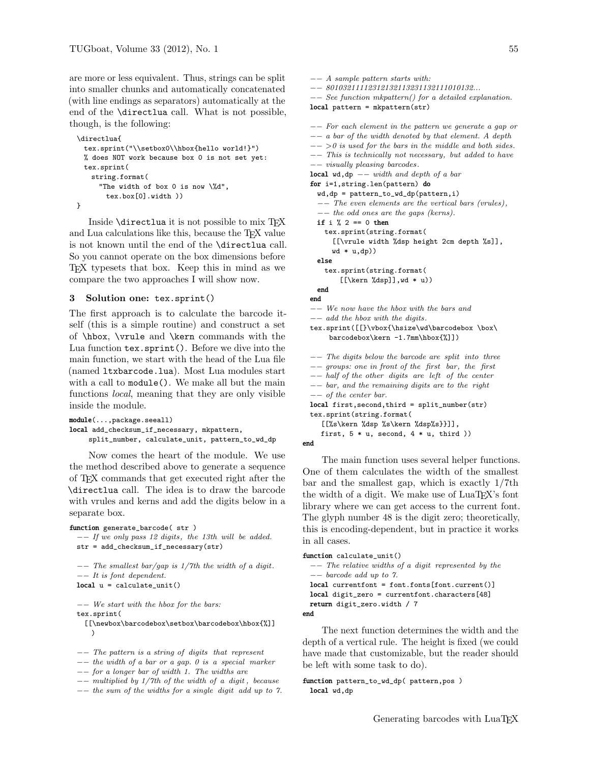are more or less equivalent. Thus, strings can be split into smaller chunks and automatically concatenated (with line endings as separators) automatically at the end of the \directlua call. What is not possible, though, is the following:

```
\directlua{
 tex.sprint("\\setbox0\\hbox{hello world!}")
 % does NOT work because box 0 is not set yet:
 tex.sprint(
   string.format(
     "The width of box 0 is now \%d",
       tex.box[0].width ))
}
```
Inside \directlua it is not possible to mix TEX and Lua calculations like this, because the T<sub>E</sub>X value is not known until the end of the \directlua call. So you cannot operate on the box dimensions before TEX typesets that box. Keep this in mind as we compare the two approaches I will show now.

#### 3 Solution one: tex.sprint()

The first approach is to calculate the barcode itself (this is a simple routine) and construct a set of \hbox, \vrule and \kern commands with the Lua function tex.sprint(). Before we dive into the main function, we start with the head of the Lua file (named ltxbarcode.lua). Most Lua modules start with a call to module(). We make all but the main functions local, meaning that they are only visible inside the module.

```
module(...,package.seeall)
local add_checksum_if_necessary, mkpattern,
    split_number, calculate_unit, pattern_to_wd_dp
```
Now comes the heart of the module. We use the method described above to generate a sequence of TEX commands that get executed right after the \directlua call. The idea is to draw the barcode with vrules and kerns and add the digits below in a separate box.

```
function generate_barcode( str )
  −− If we only pass 12 digits , the 13th will be added.
 str = add_checksum_if_necessary(str)
  −− The smallest bar/gap is 1/7th the width of a digit.
  −− It is font dependent.
 local u = calculate\_unit()
```
−− We start with the hbox for the bars: tex.sprint(

- [[\newbox\barcodebox\setbox\barcodebox\hbox{%]] )
- −− The pattern is a string of digits that represent
- −− the width of a bar or a gap. 0 is a special marker
- −− for a longer bar of width 1. The widths are
- −− multiplied by 1/7th of the width of a digit , because
- −− the sum of the widths for a single digit add up to 7.

```
−− A sample pattern starts with:
−− 80103211112312132113231132111010132...
−− See function mkpattern() for a detailed explanation.
local pattern = mkpattern(str)
−− For each element in the pattern we generate a gap or
−− a bar of the width denoted by that element. A depth
- >0 is used for the bars in the middle and both sides.
−− This is technically not necessary, but added to have
−− visually pleasing barcodes .
local wd,dp -- width and depth of a bar
for i=1,string.len(pattern) do
  wd, dp = pattern_to_wd_dp(pattern,i)−− The even elements are the vertical bars (vrules) ,
  −− the odd ones are the gaps (kerns).
  if i % 2 == 0 then
    tex.sprint(string.format(
      [[\vrule width %dsp height 2cm depth %s]],
      wd * u, dp)else
    tex.sprint(string.format(
        [[\kern %dsp]],wd * u))
  end
end
−− We now have the hbox with the bars and
−− add the hbox with the digits.
tex.sprint([[}\vbox{\hsize\wd\barcodebox \box\
     barcodebox\kern -1.7mm\hbox{%]])
−− The digits below the barcode are split into three
−− groups: one in front of the first bar, the first
−− half of the other digits are left of the center
−− bar, and the remaining digits are to the right
−− of the center bar.
local first,second,third = split_number(str)
tex.sprint(string.format(
   [[%s\kern %dsp %s\kern %dsp%s}}]],
   first, 5 * u, second, 4 * u, third ))
```


The main function uses several helper functions. One of them calculates the width of the smallest bar and the smallest gap, which is exactly 1/7th the width of a digit. We make use of LuaT<sub>EX</sub>'s font library where we can get access to the current font. The glyph number 48 is the digit zero; theoretically, this is encoding-dependent, but in practice it works in all cases.

```
function calculate_unit()
  −− The relative widths of a digit represented by the
  −− barcode add up to 7.
 local currentfont = font.fonts[font.current()]
 local digit_zero = currentfont.characters[48]
 return digit_zero.width / 7
end
```
The next function determines the width and the depth of a vertical rule. The height is fixed (we could have made that customizable, but the reader should be left with some task to do).

```
function pattern_to_wd_dp( pattern,pos )
 local wd,dp
```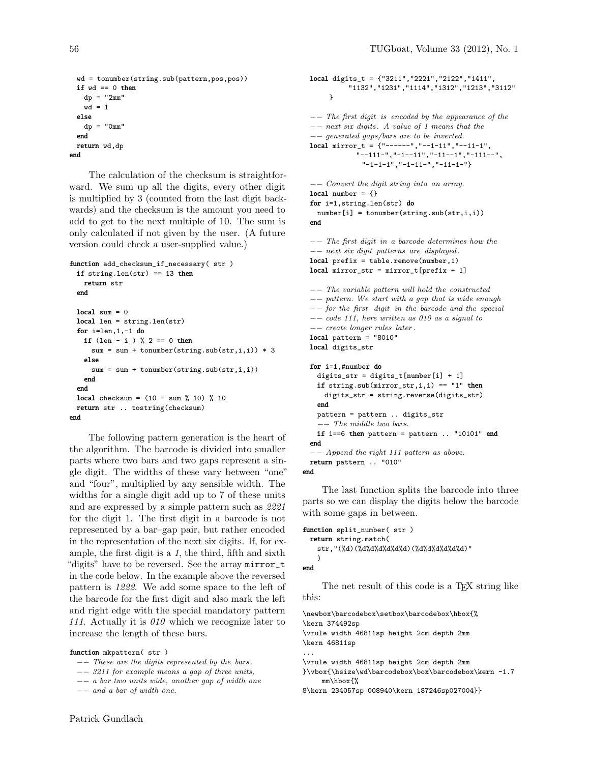```
wd = tonumber(string.sub(pattern,pos,pos))
 if wd == 0 then
   dp = "2mm"
   wd = 1else
   dp = "0mm"end
 return wd,dp
end
```
The calculation of the checksum is straightforward. We sum up all the digits, every other digit is multiplied by 3 (counted from the last digit backwards) and the checksum is the amount you need to add to get to the next multiple of 10. The sum is only calculated if not given by the user. (A future version could check a user-supplied value.)

```
function add_checksum_if_necessary( str )
 if string. len(str) == 13 then
   return str
 end
 local sum = 0local len = string.len(str)
 for i=len,1,-1 do
   if (len - i) % 2 == 0 thensum = sum + tonumber(string.sub(str,i,i)) * 3else
     sum = sum + tonumber(string.sub(str,i,i))
   end
 end
 local checksum = (10 - \text{sum } %10) % 10
 return str .. tostring(checksum)
end
```
The following pattern generation is the heart of the algorithm. The barcode is divided into smaller parts where two bars and two gaps represent a single digit. The widths of these vary between "one" and "four", multiplied by any sensible width. The widths for a single digit add up to 7 of these units and are expressed by a simple pattern such as 2221 for the digit 1. The first digit in a barcode is not represented by a bar–gap pair, but rather encoded in the representation of the next six digits. If, for example, the first digit is a 1, the third, fifth and sixth "digits" have to be reversed. See the array mirror\_t in the code below. In the example above the reversed pattern is 1222. We add some space to the left of the barcode for the first digit and also mark the left and right edge with the special mandatory pattern 111. Actually it is 010 which we recognize later to increase the length of these bars.

#### function mkpattern( str )

−− These are the digits represented by the bars .

```
−− 3211 for example means a gap of three units,
```

```
−− a bar two units wide, another gap of width one
```

```
−− and a bar of width one.
```

```
local digits_t = {"3211","2221","2122","1411",
          "1132","1231","1114","1312","1213","3112"
    }
```

```
−− The first digit is encoded by the appearance of the
−− next six digits . A value of 1 means that the
−− generated gaps/bars are to be inverted.
local mirror_t = {\n    "-----", "--1-11", "--11-1","--111-","-1--11","-11--1","-111--",
             "-1-1-1","-1-11-","-11-1-"}
```

```
−− Convert the digit string into an array.
local number = \{\}for i=1,string.len(str) do
 number[i] = tonumber(string.sub(str,i,i))
end
```

```
−− The first digit in a barcode determines how the
−− next six digit patterns are displayed .
local prefix = table.remove(number,1)
local mirror_str = mirror_t[prefix + 1]
```

```
−− The variable pattern will hold the constructed
−− pattern. We start with a gap that is wide enough
−− for the first digit in the barcode and the special
−− code 111, here written as 010 as a signal to
−− create longer rules later .
local pattern = "8010"
local digits_str
for i=1,#number do
  digits_str = digits_t[number[i] + 1]
  if string.sub(mirror_str,i,i) == "1" then
   digits_str = string.reverse(digits_str)
  end
  pattern = pattern .. digits_str
   −− The middle two bars.
  if i==6 then pattern = pattern .. "10101" end
end
−− Append the right 111 pattern as above.
return pattern .. "010"
```
end

The last function splits the barcode into three parts so we can display the digits below the barcode with some gaps in between.

```
function split_number( str )
 return string.match(
   str,"(%d)(%d%d%d%d%d%d)(%d%d%d%d%d%d)"
   )
end
```
The net result of this code is a T<sub>F</sub>X string like this:

```
\newbox\barcodebox\setbox\barcodebox\hbox{%
\kern 374492sp
\vrule width 46811sp height 2cm depth 2mm
\kern 46811sp
...
\vrule width 46811sp height 2cm depth 2mm
}\vbox{\hsize\wd\barcodebox\box\barcodebox\kern -1.7
    mm\hbox{%
8\kern 234057sp 008940\kern 187246sp027004}}
```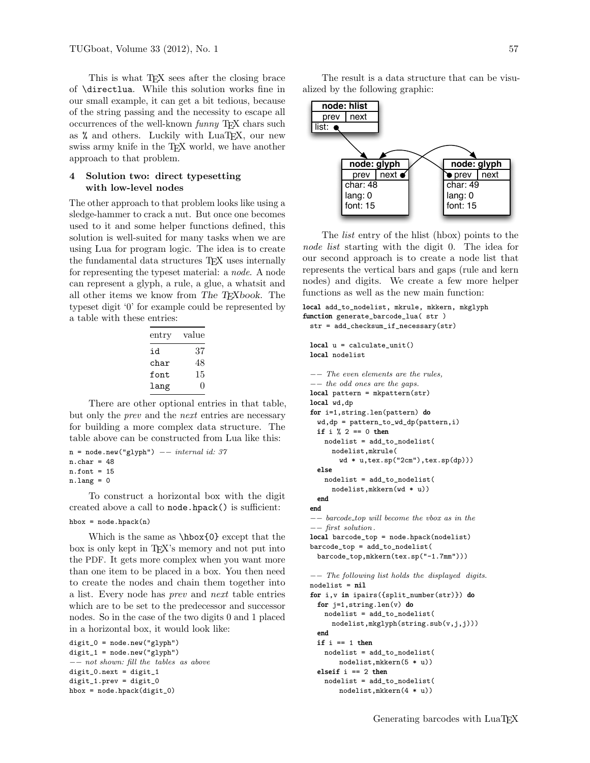This is what T<sub>EX</sub> sees after the closing brace of \directlua. While this solution works fine in our small example, it can get a bit tedious, because of the string passing and the necessity to escape all occurrences of the well-known funny T<sub>EX</sub> chars such as % and others. Luckily with LuaTEX, our new swiss army knife in the TEX world, we have another approach to that problem.

### 4 Solution two: direct typesetting with low-level nodes

The other approach to that problem looks like using a sledge-hammer to crack a nut. But once one becomes used to it and some helper functions defined, this solution is well-suited for many tasks when we are using Lua for program logic. The idea is to create the fundamental data structures TEX uses internally for representing the typeset material: a node. A node can represent a glyph, a rule, a glue, a whatsit and all other items we know from The T<sub>E</sub>Xbook. The typeset digit '0' for example could be represented by a table with these entries:

| entry | value |
|-------|-------|
| id    | 37    |
| char  | 48    |
| font  | 15    |
| lang  | 11    |

There are other optional entries in that table, but only the prev and the next entries are necessary for building a more complex data structure. The table above can be constructed from Lua like this:

```
n = node.new("glyph") --- internal id: 37n.char = 48n.font = 15n.lang = 0
```
To construct a horizontal box with the digit created above a call to node.hpack() is sufficient: hbox =  $node.hpack(n)$ 

Which is the same as \hbox{0} except that the box is only kept in TEX's memory and not put into the PDF. It gets more complex when you want more than one item to be placed in a box. You then need to create the nodes and chain them together into a list. Every node has prev and next table entries which are to be set to the predecessor and successor nodes. So in the case of the two digits 0 and 1 placed in a horizontal box, it would look like:

```
digit_0 = node.new("glyph")
digit_1 = node.new("glyph")
−− not shown: fill the tables as above
digit_0.next = digit_1digit_1.prev = digit_0
hbox = node.hpack(digit_0)
```
The result is a data structure that can be visualized by the following graphic:



The list entry of the hlist (hbox) points to the node list starting with the digit 0. The idea for our second approach is to create a node list that represents the vertical bars and gaps (rule and kern nodes) and digits. We create a few more helper functions as well as the new main function:

```
local add_to_nodelist, mkrule, mkkern, mkglyph
function generate_barcode_lua( str )
 str = add_checksum_if_necessary(str)
 local u = calculate_unit()
```
local nodelist

```
−− The even elements are the rules,
−− the odd ones are the gaps.
local pattern = mkpattern(str)
local wd,dp
for i=1,string.len(pattern) do
  wd,dp = pattern_to_wd_dp(pattern,i)
  if i \% 2 == 0 then
   nodelist = add_to_nodelist(
     nodelist,mkrule(
       wd * u,tex.sp("2cm"),tex.sp(dp)))
  else
   nodelist = add_to_nodelist(
     nodelist,mkkern(wd * u))
  end
end
−− barcode top will become the vbox as in the
−− first solution .
local barcode_top = node.hpack(nodelist)
barcode_top = add_to_nodelist(
  barcode_top,mkkern(tex.sp("-1.7mm")))
−− The following list holds the displayed digits.
nodelist = nil
```

```
for i,v in ipairs({split_number(str)}) do
 for j=1,string.len(v) do
   nodelist = add_to_nodelist(
     nodelist,mkglyph(string.sub(v,j,j)))
 end
 if i == 1 then
   nodelist = add_to_nodelist(
       nodelist,mkkern(5 * u))
 elseif i == 2 then
```

```
nodelist = add_to_nodelist(
   nodelist,mkkern(4 * u))
```